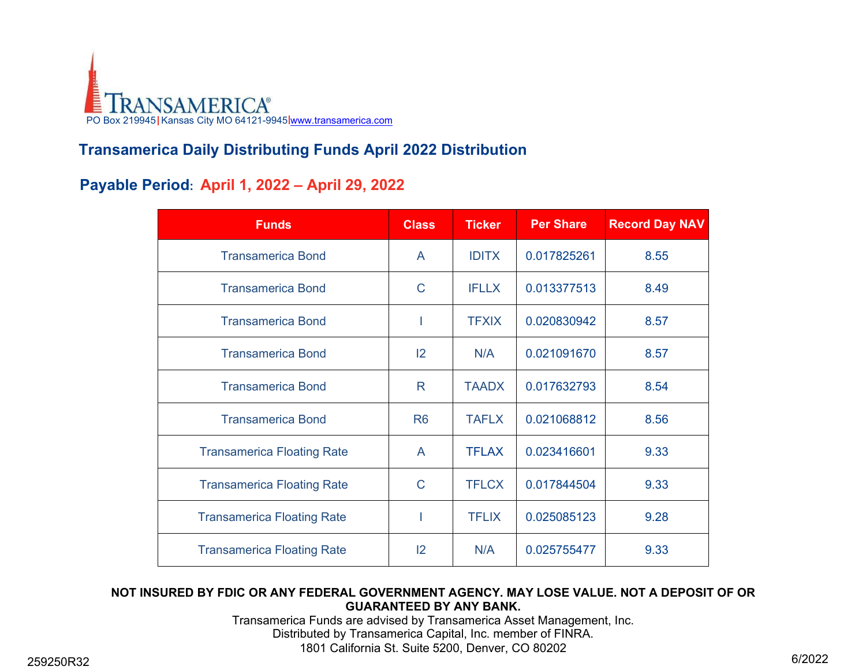

# **Transamerica Daily Distributing Funds April 2022 Distribution**

## **Payable Period: April 1, 2022 – April 29, 2022**

| <b>Funds</b>                      | <b>Class</b>   | <b>Ticker</b> | <b>Per Share</b> | <b>Record Day NAV</b> |
|-----------------------------------|----------------|---------------|------------------|-----------------------|
| <b>Transamerica Bond</b>          | A              | <b>IDITX</b>  | 0.017825261      | 8.55                  |
| <b>Transamerica Bond</b>          | C              | <b>IFLLX</b>  | 0.013377513      | 8.49                  |
| <b>Transamerica Bond</b>          | ı              | <b>TFXIX</b>  | 0.020830942      | 8.57                  |
| <b>Transamerica Bond</b>          | 2              | N/A           | 0.021091670      | 8.57                  |
| <b>Transamerica Bond</b>          | R.             | <b>TAADX</b>  | 0.017632793      | 8.54                  |
| <b>Transamerica Bond</b>          | R <sub>6</sub> | <b>TAFLX</b>  | 0.021068812      | 8.56                  |
| <b>Transamerica Floating Rate</b> | A              | <b>TFLAX</b>  | 0.023416601      | 9.33                  |
| <b>Transamerica Floating Rate</b> | $\mathsf C$    | <b>TFLCX</b>  | 0.017844504      | 9.33                  |
| <b>Transamerica Floating Rate</b> |                | <b>TFLIX</b>  | 0.025085123      | 9.28                  |
| <b>Transamerica Floating Rate</b> | $ 2\rangle$    | N/A           | 0.025755477      | 9.33                  |

#### **NOT INSURED BY FDIC OR ANY FEDERAL GOVERNMENT AGENCY. MAY LOSE VALUE. NOT A DEPOSIT OF OR GUARANTEED BY ANY BANK.**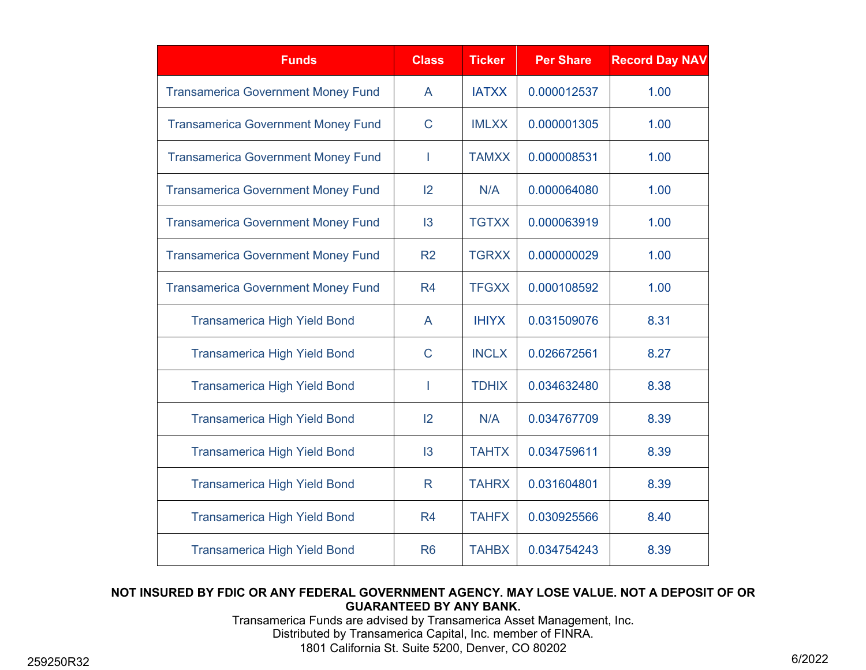| <b>Funds</b>                              | <b>Class</b>   | <b>Ticker</b> | <b>Per Share</b> | <b>Record Day NAV</b> |
|-------------------------------------------|----------------|---------------|------------------|-----------------------|
| <b>Transamerica Government Money Fund</b> | A              | <b>IATXX</b>  | 0.000012537      | 1.00                  |
| <b>Transamerica Government Money Fund</b> | $\mathsf{C}$   | <b>IMLXX</b>  | 0.000001305      | 1.00                  |
| <b>Transamerica Government Money Fund</b> | I.             | <b>TAMXX</b>  | 0.000008531      | 1.00                  |
| <b>Transamerica Government Money Fund</b> | 2              | N/A           | 0.000064080      | 1.00                  |
| <b>Transamerica Government Money Fund</b> | 13             | <b>TGTXX</b>  | 0.000063919      | 1.00                  |
| <b>Transamerica Government Money Fund</b> | R <sub>2</sub> | <b>TGRXX</b>  | 0.000000029      | 1.00                  |
| <b>Transamerica Government Money Fund</b> | R <sub>4</sub> | <b>TFGXX</b>  | 0.000108592      | 1.00                  |
| <b>Transamerica High Yield Bond</b>       | A              | <b>IHIYX</b>  | 0.031509076      | 8.31                  |
| <b>Transamerica High Yield Bond</b>       | $\mathsf C$    | <b>INCLX</b>  | 0.026672561      | 8.27                  |
| <b>Transamerica High Yield Bond</b>       |                | <b>TDHIX</b>  | 0.034632480      | 8.38                  |
| <b>Transamerica High Yield Bond</b>       | 12             | N/A           | 0.034767709      | 8.39                  |
| <b>Transamerica High Yield Bond</b>       | 3              | <b>TAHTX</b>  | 0.034759611      | 8.39                  |
| <b>Transamerica High Yield Bond</b>       | R              | <b>TAHRX</b>  | 0.031604801      | 8.39                  |
| <b>Transamerica High Yield Bond</b>       | R <sub>4</sub> | <b>TAHFX</b>  | 0.030925566      | 8.40                  |
| <b>Transamerica High Yield Bond</b>       | R <sub>6</sub> | <b>TAHBX</b>  | 0.034754243      | 8.39                  |

#### **NOT INSURED BY FDIC OR ANY FEDERAL GOVERNMENT AGENCY. MAY LOSE VALUE. NOT A DEPOSIT OF OR GUARANTEED BY ANY BANK.**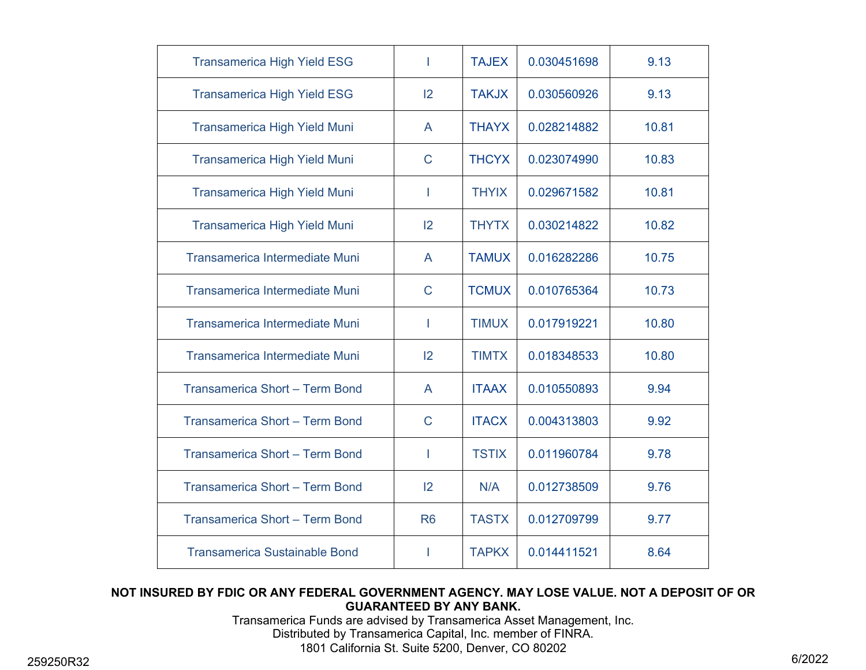| <b>Transamerica High Yield ESG</b>    | T              | <b>TAJEX</b> | 0.030451698 | 9.13  |
|---------------------------------------|----------------|--------------|-------------|-------|
| <b>Transamerica High Yield ESG</b>    | 2              | <b>TAKJX</b> | 0.030560926 | 9.13  |
| <b>Transamerica High Yield Muni</b>   | A              | <b>THAYX</b> | 0.028214882 | 10.81 |
| <b>Transamerica High Yield Muni</b>   | $\mathsf{C}$   | <b>THCYX</b> | 0.023074990 | 10.83 |
| <b>Transamerica High Yield Muni</b>   | ı              | <b>THYIX</b> | 0.029671582 | 10.81 |
| <b>Transamerica High Yield Muni</b>   | 2              | <b>THYTX</b> | 0.030214822 | 10.82 |
| <b>Transamerica Intermediate Muni</b> | $\mathsf{A}$   | <b>TAMUX</b> | 0.016282286 | 10.75 |
| Transamerica Intermediate Muni        | $\mathsf{C}$   | <b>TCMUX</b> | 0.010765364 | 10.73 |
| <b>Transamerica Intermediate Muni</b> | ı              | <b>TIMUX</b> | 0.017919221 | 10.80 |
| Transamerica Intermediate Muni        | 12             | <b>TIMTX</b> | 0.018348533 | 10.80 |
| Transamerica Short - Term Bond        | $\mathsf{A}$   | <b>ITAAX</b> | 0.010550893 | 9.94  |
| Transamerica Short - Term Bond        | $\mathsf{C}$   | <b>ITACX</b> | 0.004313803 | 9.92  |
| Transamerica Short - Term Bond        |                | <b>TSTIX</b> | 0.011960784 | 9.78  |
| Transamerica Short - Term Bond        | 2              | N/A          | 0.012738509 | 9.76  |
| Transamerica Short - Term Bond        | R <sub>6</sub> | <b>TASTX</b> | 0.012709799 | 9.77  |
| <b>Transamerica Sustainable Bond</b>  |                | <b>TAPKX</b> | 0.014411521 | 8.64  |

#### **NOT INSURED BY FDIC OR ANY FEDERAL GOVERNMENT AGENCY. MAY LOSE VALUE. NOT A DEPOSIT OF OR GUARANTEED BY ANY BANK.**